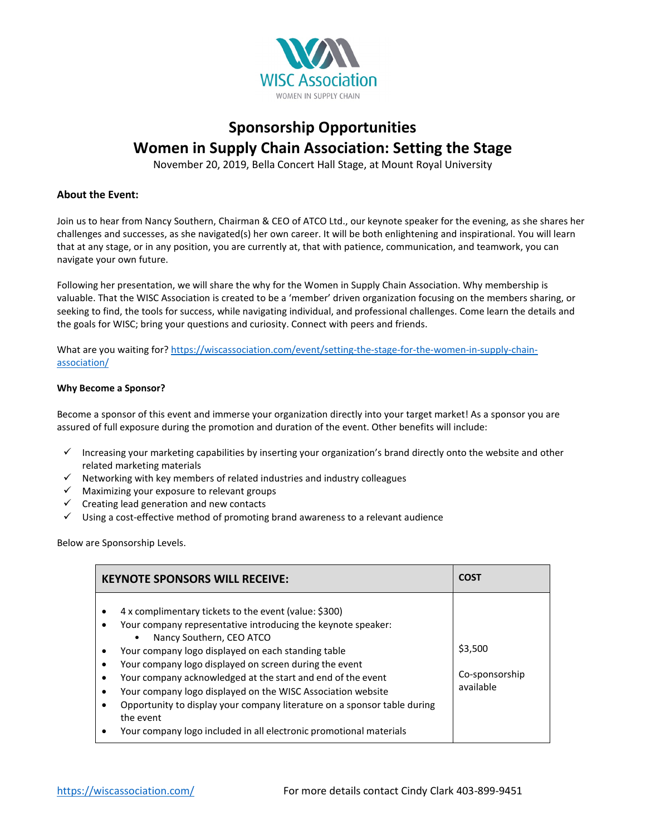

## **Sponsorship Opportunities Women in Supply Chain Association: Setting the Stage**

November 20, 2019, Bella Concert Hall Stage, at Mount Royal University

## **About the Event:**

Join us to hear from Nancy Southern, Chairman & CEO of ATCO Ltd., our keynote speaker for the evening, as she shares her challenges and successes, as she navigated(s) her own career. It will be both enlightening and inspirational. You will learn that at any stage, or in any position, you are currently at, that with patience, communication, and teamwork, you can navigate your own future.

Following her presentation, we will share the why for the Women in Supply Chain Association. Why membership is valuable. That the WISC Association is created to be a 'member' driven organization focusing on the members sharing, or seeking to find, the tools for success, while navigating individual, and professional challenges. Come learn the details and the goals for WISC; bring your questions and curiosity. Connect with peers and friends.

What are you waiting for? [https://wiscassociation.com/event/setting-the-stage-for-the-women-in-supply-chain](https://wiscassociation.com/event/setting-the-stage-for-the-women-in-supply-chain-association/)[association/](https://wiscassociation.com/event/setting-the-stage-for-the-women-in-supply-chain-association/)

## **Why Become a Sponsor?**

Become a sponsor of this event and immerse your organization directly into your target market! As a sponsor you are assured of full exposure during the promotion and duration of the event. Other benefits will include:

- Increasing your marketing capabilities by inserting your organization's brand directly onto the website and other related marketing materials
- $\checkmark$  Networking with key members of related industries and industry colleagues
- $\checkmark$  Maximizing your exposure to relevant groups
- $\checkmark$  Creating lead generation and new contacts
- $\checkmark$  Using a cost-effective method of promoting brand awareness to a relevant audience

Below are Sponsorship Levels.

| <b>KEYNOTE SPONSORS WILL RECEIVE:</b>                                                                                                                                                                                                                                                                                                                                                                                                                                                                                                                                       | <b>COST</b>                            |
|-----------------------------------------------------------------------------------------------------------------------------------------------------------------------------------------------------------------------------------------------------------------------------------------------------------------------------------------------------------------------------------------------------------------------------------------------------------------------------------------------------------------------------------------------------------------------------|----------------------------------------|
| 4 x complimentary tickets to the event (value: \$300)<br>Your company representative introducing the keynote speaker:<br>Nancy Southern, CEO ATCO<br>$\bullet$<br>Your company logo displayed on each standing table<br>Your company logo displayed on screen during the event<br>Your company acknowledged at the start and end of the event<br>Your company logo displayed on the WISC Association website<br>Opportunity to display your company literature on a sponsor table during<br>the event<br>Your company logo included in all electronic promotional materials | \$3,500<br>Co-sponsorship<br>available |